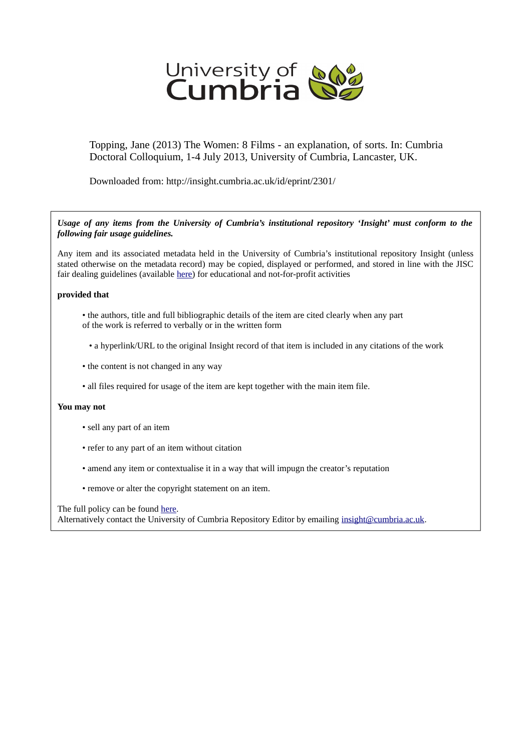

Topping, Jane (2013) The Women: 8 Films - an explanation, of sorts. In: Cumbria Doctoral Colloquium, 1-4 July 2013, University of Cumbria, Lancaster, UK.

Downloaded from: http://insight.cumbria.ac.uk/id/eprint/2301/

*Usage of any items from the University of Cumbria's institutional repository 'Insight' must conform to the following fair usage guidelines.*

Any item and its associated metadata held in the University of Cumbria's institutional repository Insight (unless stated otherwise on the metadata record) may be copied, displayed or performed, and stored in line with the JISC fair dealing guidelines (available [here\)](http://www.ukoln.ac.uk/services/elib/papers/pa/fair/) for educational and not-for-profit activities

## **provided that**

- the authors, title and full bibliographic details of the item are cited clearly when any part of the work is referred to verbally or in the written form
	- a hyperlink/URL to the original Insight record of that item is included in any citations of the work
- the content is not changed in any way
- all files required for usage of the item are kept together with the main item file.

## **You may not**

- sell any part of an item
- refer to any part of an item without citation
- amend any item or contextualise it in a way that will impugn the creator's reputation
- remove or alter the copyright statement on an item.

The full policy can be found [here.](http://insight.cumbria.ac.uk/legal.html#section5)

Alternatively contact the University of Cumbria Repository Editor by emailing [insight@cumbria.ac.uk.](mailto:insight@cumbria.ac.uk)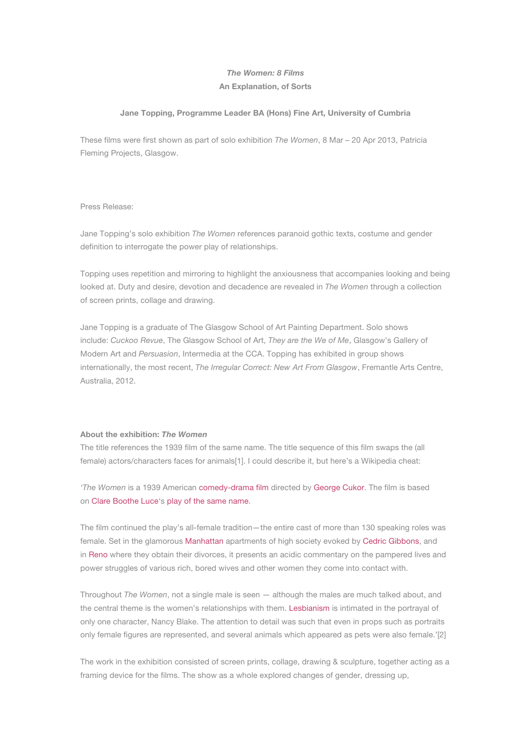# *The Women: 8 Films* **An Explanation, of Sorts**

#### **Jane Topping, Programme Leader BA (Hons) Fine Art, University of Cumbria**

These films were first shown as part of solo exhibition *The Women*, 8 Mar – 20 Apr 2013, Patricia Fleming Projects, Glasgow.

### Press Release:

Jane Topping's solo exhibition *The Women* references paranoid gothic texts, costume and gender definition to interrogate the power play of relationships.

Topping uses repetition and mirroring to highlight the anxiousness that accompanies looking and being looked at. Duty and desire, devotion and decadence are revealed in *The Women* through a collection of screen prints, collage and drawing.

Jane Topping is a graduate of The Glasgow School of Art Painting Department. Solo shows include: *Cuckoo Revue*, The Glasgow School of Art, *They are the We of Me*, Glasgow's Gallery of Modern Art and *Persuasion*, Intermedia at the CCA. Topping has exhibited in group shows internationally, the most recent, *The Irregular Correct: New Art From Glasgow*, Fremantle Arts Centre, Australia, 2012.

#### **About the exhibition:** *The Women*

The title references the 1939 film of the same name. The title sequence of this film swaps the (all female) actors/characters faces for animals[1]. I could describe it, but here's a Wikipedia cheat:

*'The Women* is a 1939 American [comedy-drama film](http://en.wikipedia.org/wiki/Comedy-drama) directed by [George Cukor](http://en.wikipedia.org/wiki/George_Cukor). The film is based on [Clare Boothe Luce'](http://en.wikipedia.org/wiki/Clare_Boothe_Luce)s [play of the same name.](http://en.wikipedia.org/wiki/The_Women_(play))

The film continued the play's all-female tradition—the entire cast of more than 130 speaking roles was female. Set in the glamorous [Manhattan](http://en.wikipedia.org/wiki/Manhattan) apartments of high society evoked by [Cedric Gibbons,](http://en.wikipedia.org/wiki/Cedric_Gibbons) and in [Reno](http://en.wikipedia.org/wiki/Reno,_Nevada) where they obtain their divorces, it presents an acidic commentary on the pampered lives and power struggles of various rich, bored wives and other women they come into contact with.

Throughout *The Women*, not a single male is seen — although the males are much talked about, and the central theme is the women's relationships with them. [Lesbianism](http://en.wikipedia.org/wiki/Lesbianism) is intimated in the portrayal of only one character, Nancy Blake. The attention to detail was such that even in props such as portraits only female figures are represented, and several animals which appeared as pets were also female.'[2]

The work in the exhibition consisted of screen prints, collage, drawing & sculpture, together acting as a framing device for the films. The show as a whole explored changes of gender, dressing up,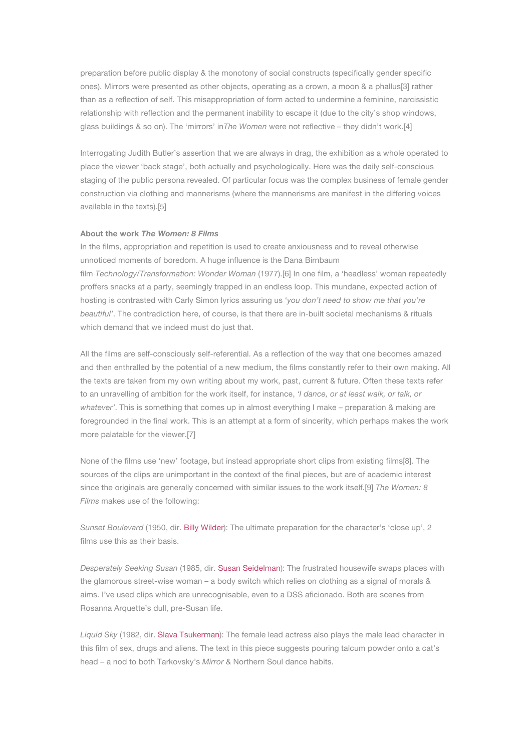preparation before public display & the monotony of social constructs (specifically gender specific ones). Mirrors were presented as other objects, operating as a crown, a moon & a phallus[3] rather than as a reflection of self. This misappropriation of form acted to undermine a feminine, narcissistic relationship with reflection and the permanent inability to escape it (due to the city's shop windows, glass buildings & so on). The 'mirrors' in*The Women* were not reflective – they didn't work.[4]

Interrogating Judith Butler's assertion that we are always in drag, the exhibition as a whole operated to place the viewer 'back stage', both actually and psychologically. Here was the daily self-conscious staging of the public persona revealed. Of particular focus was the complex business of female gender construction via clothing and mannerisms (where the mannerisms are manifest in the differing voices available in the texts).[5]

## **About the work** *The Women: 8 Films*

In the films, appropriation and repetition is used to create anxiousness and to reveal otherwise unnoticed moments of boredom. A huge influence is the Dana Birnbaum film *Technology/Transformation: Wonder Woman* (1977).[6] In one film, a 'headless' woman repeatedly proffers snacks at a party, seemingly trapped in an endless loop. This mundane, expected action of hosting is contrasted with Carly Simon lyrics assuring us '*you don't need to show me that you're beautiful'*. The contradiction here, of course, is that there are in-built societal mechanisms & rituals which demand that we indeed must do just that.

All the films are self-consciously self-referential. As a reflection of the way that one becomes amazed and then enthralled by the potential of a new medium, the films constantly refer to their own making. All the texts are taken from my own writing about my work, past, current & future. Often these texts refer to an unravelling of ambition for the work itself, for instance, *'I dance, or at least walk, or talk, or whatever'*. This is something that comes up in almost everything I make – preparation & making are foregrounded in the final work. This is an attempt at a form of sincerity, which perhaps makes the work more palatable for the viewer.[7]

None of the films use 'new' footage, but instead appropriate short clips from existing films[8]. The sources of the clips are unimportant in the context of the final pieces, but are of academic interest since the originals are generally concerned with similar issues to the work itself.[9] *The Women: 8 Films* makes use of the following:

*Sunset Boulevard* (1950, dir. [Billy Wilder\)](http://en.wikipedia.org/wiki/Billy_Wilder): The ultimate preparation for the character's 'close up', 2 films use this as their basis.

*Desperately Seeking Susan* (1985, dir. [Susan Seidelman](http://en.wikipedia.org/wiki/Susan_Seidelman)): The frustrated housewife swaps places with the glamorous street-wise woman – a body switch which relies on clothing as a signal of morals & aims. I've used clips which are unrecognisable, even to a DSS aficionado. Both are scenes from Rosanna Arquette's dull, pre-Susan life.

*Liquid Sky* (1982, dir. [Slava Tsukerman](http://en.wikipedia.org/wiki/Slava_Tsukerman)): The female lead actress also plays the male lead character in this film of sex, drugs and aliens. The text in this piece suggests pouring talcum powder onto a cat's head – a nod to both Tarkovsky's *Mirror* & Northern Soul dance habits.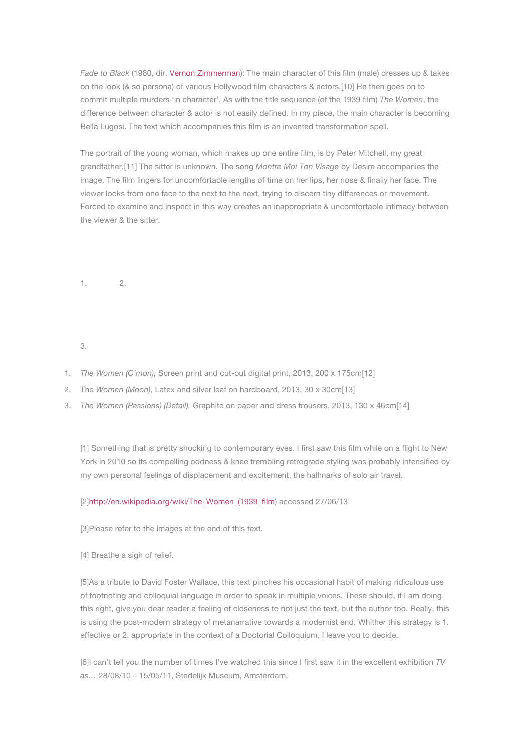*Fade to Black* (1980, dir. [Vernon Zimmerman](http://en.wikipedia.org/w/index.php?title=Vernon_Zimmerman&action=edit&redlink=1)): The main character of this film (male) dresses up & takes on the look (& so persona) of various Hollywood film characters & actors.[10] He then goes on to commit multiple murders 'in character'. As with the title sequence (of the 1939 film) *The Women*, the difference between character & actor is not easily defined. In my piece, the main character is becoming Bella Lugosi. The text which accompanies this film is an invented transformation spell.

The portrait of the young woman, which makes up one entire film, is by Peter Mitchell, my great grandfather.[11] The sitter is unknown. The song *Montre Moi Ton Visage* by Desire accompanies the image. The film lingers for uncomfortable lengths of time on her lips, her nose & finally her face. The viewer looks from one face to the next to the next, trying to discern tiny differences or movement. Forced to examine and inspect in this way creates an inappropriate & uncomfortable intimacy between the viewer & the sitter.

1. 2.

3.

- 1. *The Women (C'mon),* Screen print and cut-out digital print, 2013, 200 x 175cm[12]
- 2. The *Women (Moon),* Latex and silver leaf on hardboard, 2013, 30 x 30cm[13]
- 3. *The Women (Passions) (Detail),* Graphite on paper and dress trousers, 2013, 130 x 46cm[14]

[1] Something that is pretty shocking to contemporary eyes. I first saw this film while on a flight to New York in 2010 so its compelling oddness & knee trembling retrograde styling was probably intensified by my own personal feelings of displacement and excitement, the hallmarks of solo air travel.

## [2][http://en.wikipedia.org/wiki/The\\_Women\\_\(1939\\_film\)](http://en.wikipedia.org/wiki/The_Women_(1939_film) accessed 27/06/13

[3]Please refer to the images at the end of this text.

[4] Breathe a sigh of relief.

[5]As a tribute to David Foster Wallace, this text pinches his occasional habit of making ridiculous use of footnoting and colloquial language in order to speak in multiple voices. These should, if I am doing this right, give you dear reader a feeling of closeness to not just the text, but the author too. Really, this is using the post-modern strategy of metanarrative towards a modernist end. Whither this strategy is 1. effective or 2. appropriate in the context of a Doctorial Colloquium, I leave you to decide.

[6]I can't tell you the number of times I've watched this since I first saw it in the excellent exhibition *TV as…* 28/08/10 – 15/05/11, Stedelijk Museum, Amsterdam.